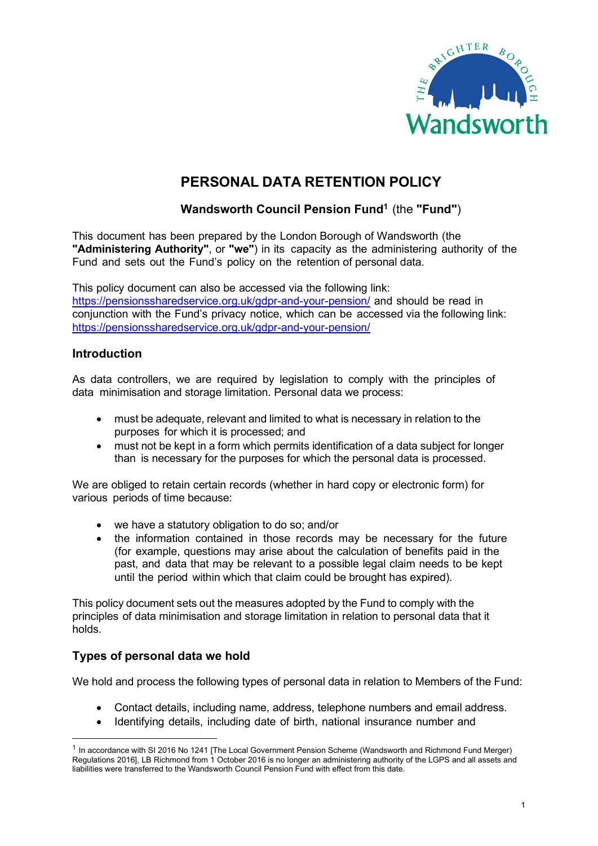

# PERSONAL DATA RETENTION POLICY

# Wandsworth Council Pension Fund<sup>1</sup> (the "Fund")

This document has been prepared by the London Borough of Wandsworth (the "Administering Authority", or "we") in its capacity as the administering authority of the Fund and sets out the Fund's policy on the retention of personal data.

This policy document can also be accessed via the following link: https://pensionssharedservice.org.uk/gdpr-and-your-pension/ and should be read in conjunction with the Fund's privacy notice, which can be accessed via the following link: https://pensionssharedservice.org.uk/gdpr-and-your-pension/

#### **Introduction**

As data controllers, we are required by legislation to comply with the principles of data minimisation and storage limitation. Personal data we process:

- must be adequate, relevant and limited to what is necessary in relation to the purposes for which it is processed; and
- must not be kept in a form which permits identification of a data subject for longer than is necessary for the purposes for which the personal data is processed.

We are obliged to retain certain records (whether in hard copy or electronic form) for various periods of time because:

- we have a statutory obligation to do so; and/or
- the information contained in those records may be necessary for the future (for example, questions may arise about the calculation of benefits paid in the past, and data that may be relevant to a possible legal claim needs to be kept until the period within which that claim could be brought has expired).

This policy document sets out the measures adopted by the Fund to comply with the principles of data minimisation and storage limitation in relation to personal data that it holds.

#### Types of personal data we hold

We hold and process the following types of personal data in relation to Members of the Fund:

- Contact details, including name, address, telephone numbers and email address.
- Identifying details, including date of birth, national insurance number and

<sup>&</sup>lt;sup>1</sup> In accordance with SI 2016 No 1241 [The Local Government Pension Scheme (Wandsworth and Richmond Fund Merger) Regulations 2016], LB Richmond from 1 October 2016 is no longer an administering authority of the LGPS and all assets and liabilities were transferred to the Wandsworth Council Pension Fund with effect from this date.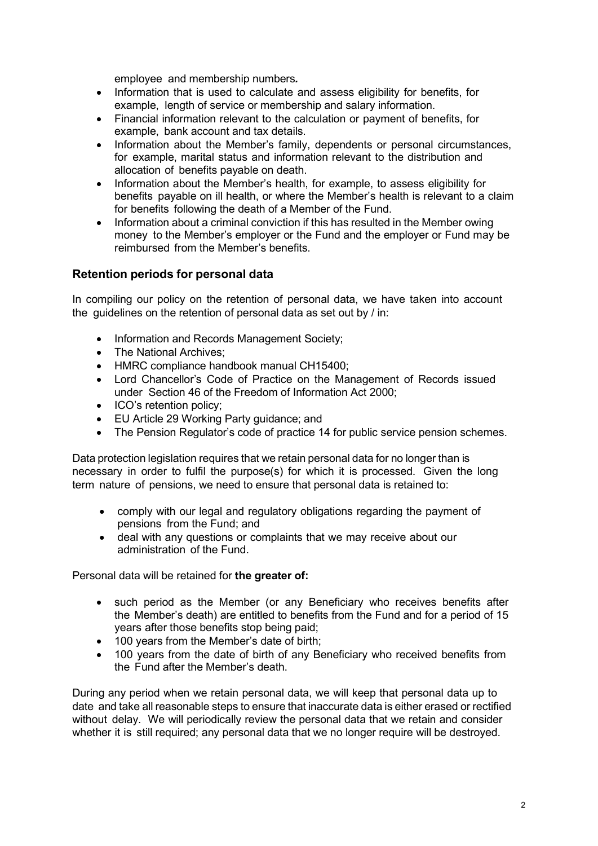employee and membership numbers.

- Information that is used to calculate and assess eligibility for benefits, for example, length of service or membership and salary information.
- Financial information relevant to the calculation or payment of benefits, for example, bank account and tax details.
- Information about the Member's family, dependents or personal circumstances, for example, marital status and information relevant to the distribution and allocation of benefits payable on death.
- Information about the Member's health, for example, to assess eligibility for benefits payable on ill health, or where the Member's health is relevant to a claim for benefits following the death of a Member of the Fund.
- Information about a criminal conviction if this has resulted in the Member owing money to the Member's employer or the Fund and the employer or Fund may be reimbursed from the Member's benefits.

#### Retention periods for personal data

In compiling our policy on the retention of personal data, we have taken into account the guidelines on the retention of personal data as set out by / in:

- Information and Records Management Society;
- The National Archives:
- HMRC compliance handbook manual CH15400;
- Lord Chancellor's Code of Practice on the Management of Records issued under Section 46 of the Freedom of Information Act 2000;
- ICO's retention policy:
- EU Article 29 Working Party guidance; and
- The Pension Regulator's code of practice 14 for public service pension schemes.

Data protection legislation requires that we retain personal data for no longer than is necessary in order to fulfil the purpose(s) for which it is processed. Given the long term nature of pensions, we need to ensure that personal data is retained to:

- comply with our legal and regulatory obligations regarding the payment of pensions from the Fund; and
- deal with any questions or complaints that we may receive about our administration of the Fund.

Personal data will be retained for the greater of:

- such period as the Member (or any Beneficiary who receives benefits after the Member's death) are entitled to benefits from the Fund and for a period of 15 years after those benefits stop being paid;
- 100 years from the Member's date of birth;
- 100 years from the date of birth of any Beneficiary who received benefits from the Fund after the Member's death.

During any period when we retain personal data, we will keep that personal data up to date and take all reasonable steps to ensure that inaccurate data is either erased or rectified without delay. We will periodically review the personal data that we retain and consider whether it is still required; any personal data that we no longer require will be destroyed.